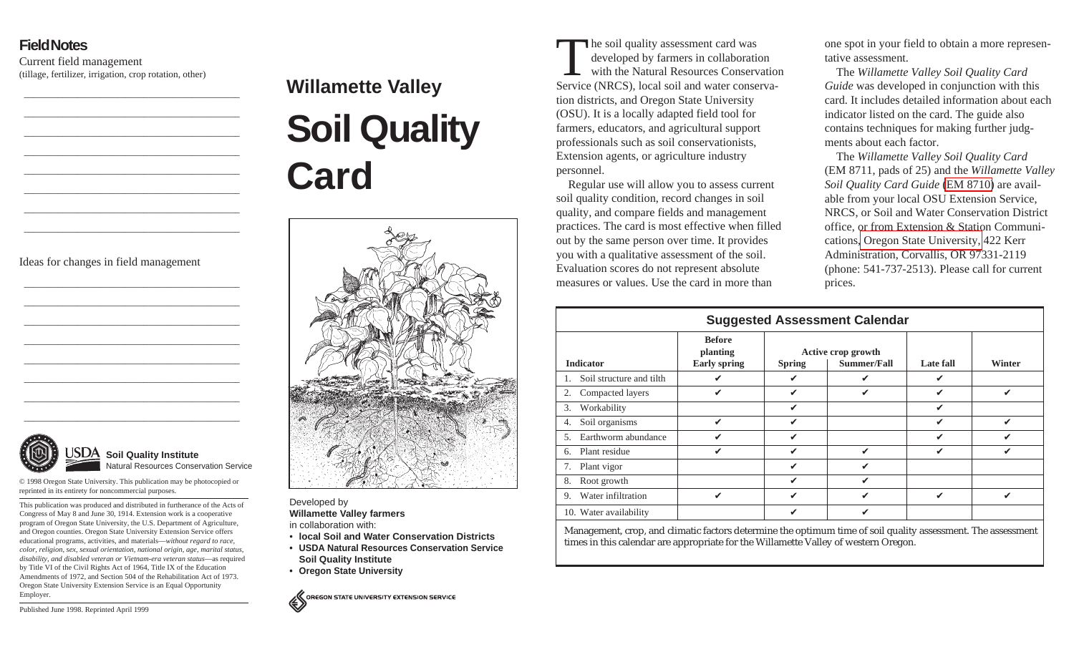## **Field Notes**

Current field management (tillage, fertilizer, irrigation, crop rotation, other)

Ideas for changes in field management



© 1998 Oregon State University. This publication may be photocopied or reprinted in its entirety for noncommercial purposes.

This publication was produced and distributed in furtherance of the Acts of Congress of May 8 and June 30, 1914. Extension work is a cooperative program of Oregon State University, the U.S. Department of Agriculture, and Oregon counties. Oregon State University Extension Service offers educational programs, activities, and materials—*without regard to race, color, religion, sex, sexual orientation, national origin, age, marital status, disability, and disabled veteran or Vietnam-era veteran status*—as required by Title VI of the Civil Rights Act of 1964, Title IX of the Education Amendments of 1972, and Section 504 of the Rehabilitation Act of 1973. Oregon State University Extension Service is an Equal Opportunity Employer.

## **Willamette Valley**





Developed by **Willamette Valley farmers**

in collaboration with:

- **local Soil and Water Conservation Districts**
- **• USDA Natural Resources Conservation ServiceSoil Quality Institute**
- **• Oregon State University**

OREGON STATE UNIVERSITY EXTENSION SERVICE

The soil quality assessment card was developed by farmers in collaboration with the Natural Resources ConservationService (NRCS), local soil and water conservation districts, and Oregon State University (OSU). It is a locally adapted field tool for farmers, educators, and agricultural support professionals such as soil conservationists, Extension agents, or agriculture industry personnel.

Regular use will allow you to assess current soil quality condition, record changes in soil quality, and compare fields and management practices. The card is most effective when filled out by the same person over time. It provides you with a qualitative assessment of the soil. Evaluation scores do not represent absolute measures or values. Use the card in more than

one spot in your field to obtain a more representative assessment.

The *Willamette Valley Soil Quality Card Guide* was developed in conjunction with this card. It includes detailed information about eachindicator listed on the card. The guide also contains techniques for making further judgments about each factor.

The *Willamette Valley Soil Quality Card* (EM 8711, pads of 25) and the *Willamette Valley Soil Quality Card Guide* [\(EM 8710\)](http://extension.oregonstate.edu/catalog/pdf/EM/EM8710-E.pdf) are available from your local OSU Extension Service, NRCS, or Soil and Water Conservation District office, or from Extension & Station Communications, [Oregon State University,](http://extension.oregonstate.edu/catalog/) 422 Kerr Administration, Corvallis, OR 97331-2119 (phone: 541-737-2513). Please call for current prices.

| <b>Suggested Assessment Calendar</b> |                          |                                                  |               |                                   |                  |        |  |  |
|--------------------------------------|--------------------------|--------------------------------------------------|---------------|-----------------------------------|------------------|--------|--|--|
| <b>Indicator</b>                     |                          | <b>Before</b><br>planting<br><b>Early spring</b> | <b>Spring</b> | Active crop growth<br>Summer/Fall | <b>Late fall</b> | Winter |  |  |
| 1.                                   | Soil structure and tilth | V                                                |               | ✔                                 | ✔                |        |  |  |
| 2.                                   | Compacted layers         | ✓                                                | ✓             | ✔                                 | ✓                | ✓      |  |  |
| 3.                                   | Workability              |                                                  | ✓             |                                   | V                |        |  |  |
| 4.                                   | Soil organisms           | ✓                                                | V             |                                   | V                | ✓      |  |  |
| 5.                                   | Earthworm abundance      | ✓                                                | ✔             |                                   | ✔                |        |  |  |
| 6.                                   | Plant residue            | ✓                                                | ✓             | ✓                                 | ✓                | ✓      |  |  |
| 7.                                   | Plant vigor              |                                                  | ✔             | ✔                                 |                  |        |  |  |
| 8.                                   | Root growth              |                                                  | ✔             | ✔                                 |                  |        |  |  |
| 9.                                   | Water infiltration       | ✓                                                | ✓             | ✓                                 | ✓                | ✓      |  |  |
|                                      | 10. Water availability   |                                                  | ✔             | ✔                                 |                  |        |  |  |

Management, crop, and climatic factors determine the optimum time of soil quality assessment. The assessment times in this calendar are appropriate for the Willamette Valley of western Oregon.

Published June 1998. Reprinted April 1999